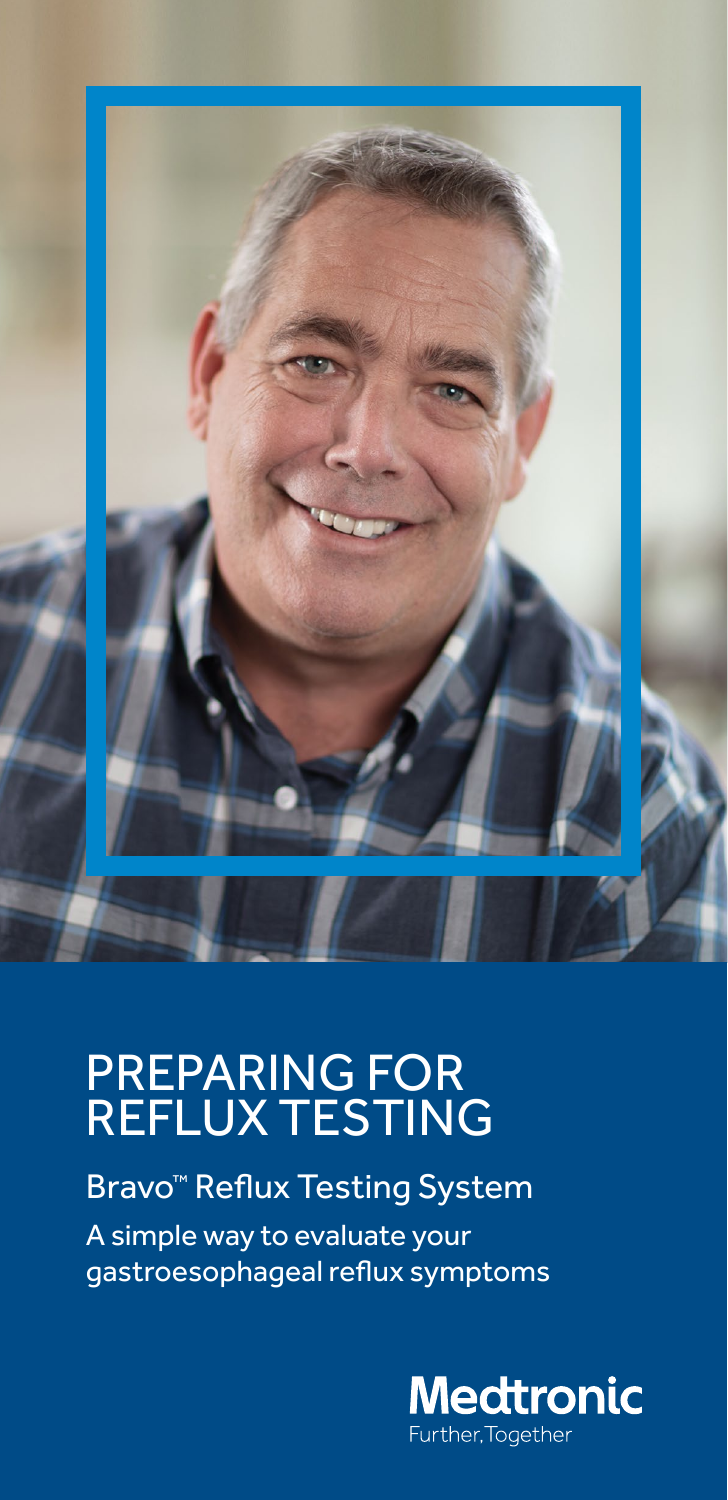

# PREPARING FOR REFLUX TESTING

Bravo™ Reflux Testing System A simple way to evaluate your gastroesophageal reflux symptoms

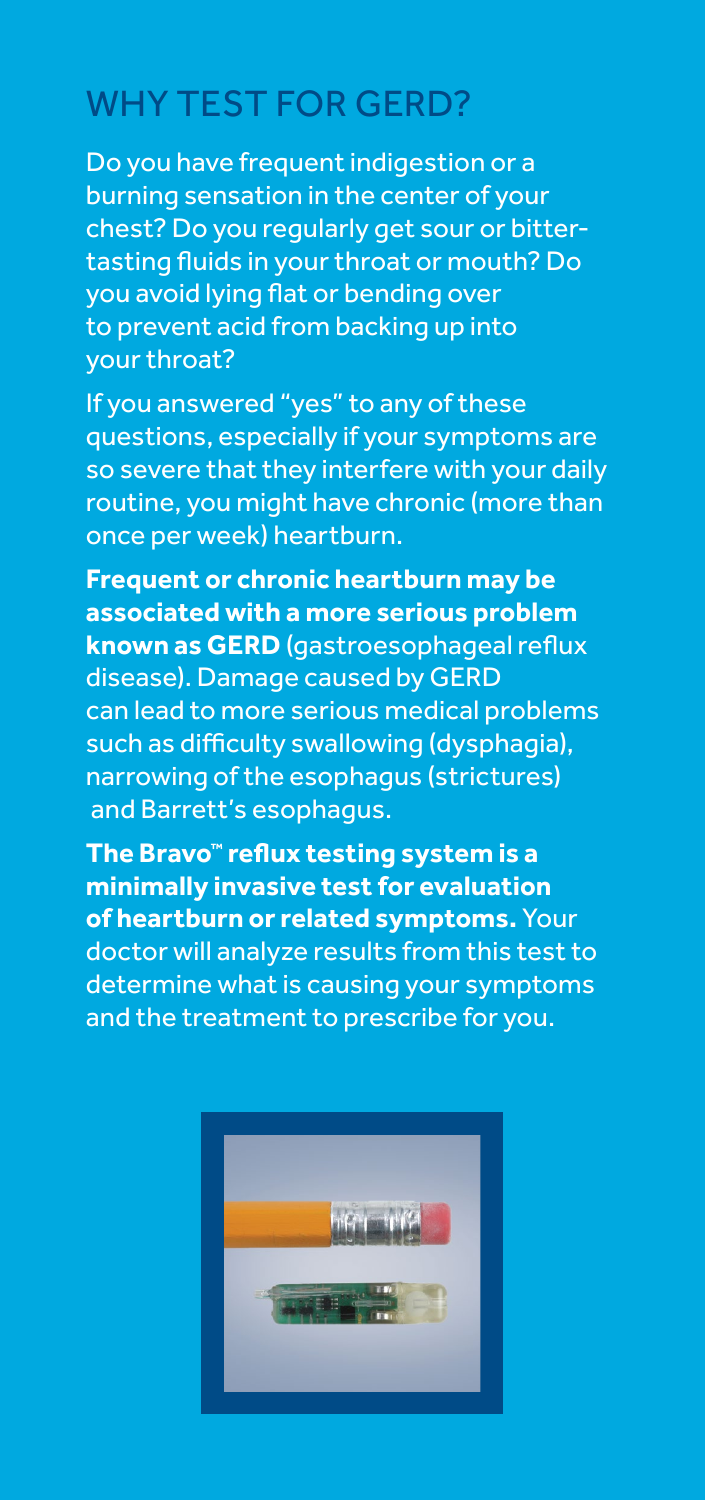# WHY TEST FOR GERD?

Do you have frequent indigestion or a burning sensation in the center of your chest? Do you regularly get sour or bittertasting fluids in your throat or mouth? Do you avoid lying flat or bending over to prevent acid from backing up into your throat?

If you answered "yes" to any of these questions, especially if your symptoms are so severe that they interfere with your daily routine, you might have chronic (more than once per week) heartburn.

**Frequent or chronic heartburn may be associated with a more serious problem known as GERD** (gastroesophageal reflux disease). Damage caused by GERD can lead to more serious medical problems such as difficulty swallowing (dysphagia), narrowing of the esophagus (strictures) and Barrett's esophagus.

**The Bravo™ reflux testing system is a minimally invasive test for evaluation of heartburn or related symptoms.** Your doctor will analyze results from this test to determine what is causing your symptoms and the treatment to prescribe for you.

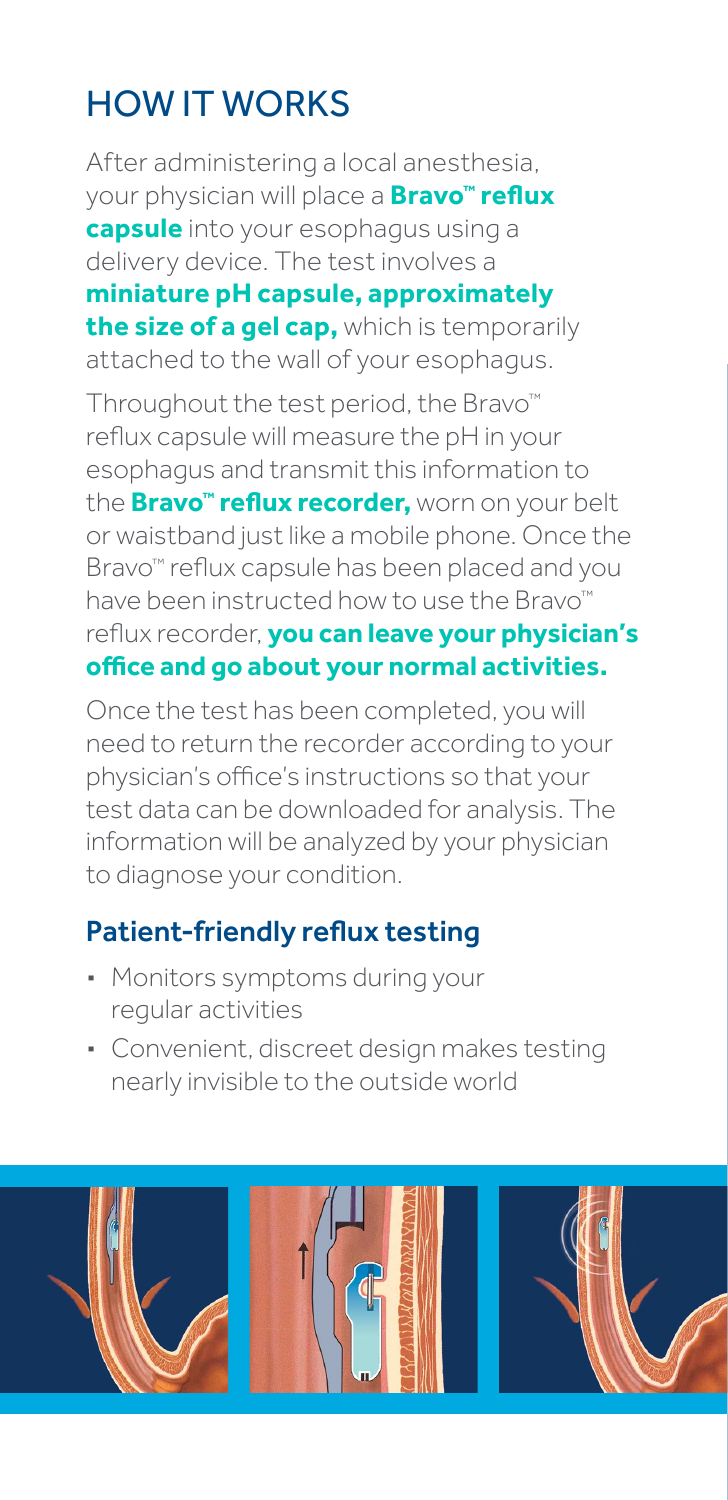# HOW IT WORKS

After administering a local anesthesia, your physician will place a **Bravo™ reflux capsule** into your esophagus using a delivery device. The test involves a **miniature pH capsule, approximately the size of a gel cap,** which is temporarily attached to the wall of your esophagus.

Throughout the test period, the Bravo™ reflux capsule will measure the pH in your esophagus and transmit this information to the **Bravo™ reflux recorder,** worn on your belt or waistband just like a mobile phone. Once the Bravo™ reflux capsule has been placed and you have been instructed how to use the Bravo™ reflux recorder, **you can leave your physician's office and go about your normal activities.**

Once the test has been completed, you will need to return the recorder according to your physician's office's instructions so that your test data can be downloaded for analysis. The information will be analyzed by your physician to diagnose your condition.

### Patient-friendly reflux testing

- ∙ Monitors symptoms during your regular activities
- ∙ Convenient, discreet design makes testing nearly invisible to the outside world

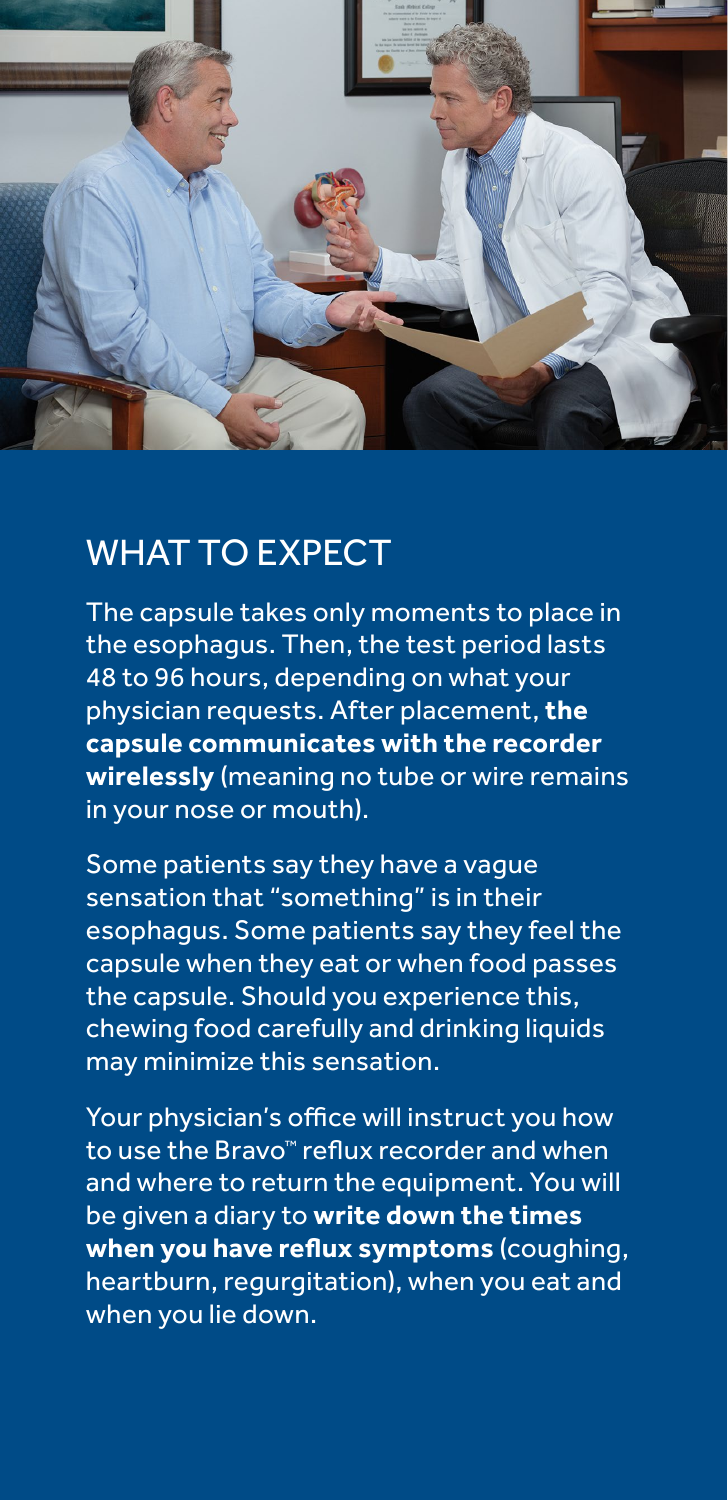

## WHAT TO EXPECT

The capsule takes only moments to place in the esophagus. Then, the test period lasts 48 to 96 hours, depending on what your physician requests. After placement, **the capsule communicates with the recorder wirelessly** (meaning no tube or wire remains in your nose or mouth).

Some patients say they have a vague sensation that "something" is in their esophagus. Some patients say they feel the capsule when they eat or when food passes the capsule. Should you experience this, chewing food carefully and drinking liquids may minimize this sensation.

Your physician's office will instruct you how to use the Bravo<sup>™</sup> reflux recorder and when and where to return the equipment. You will be given a diary to **write down the times when you have reflux symptoms** (coughing, heartburn, regurgitation), when you eat and when you lie down.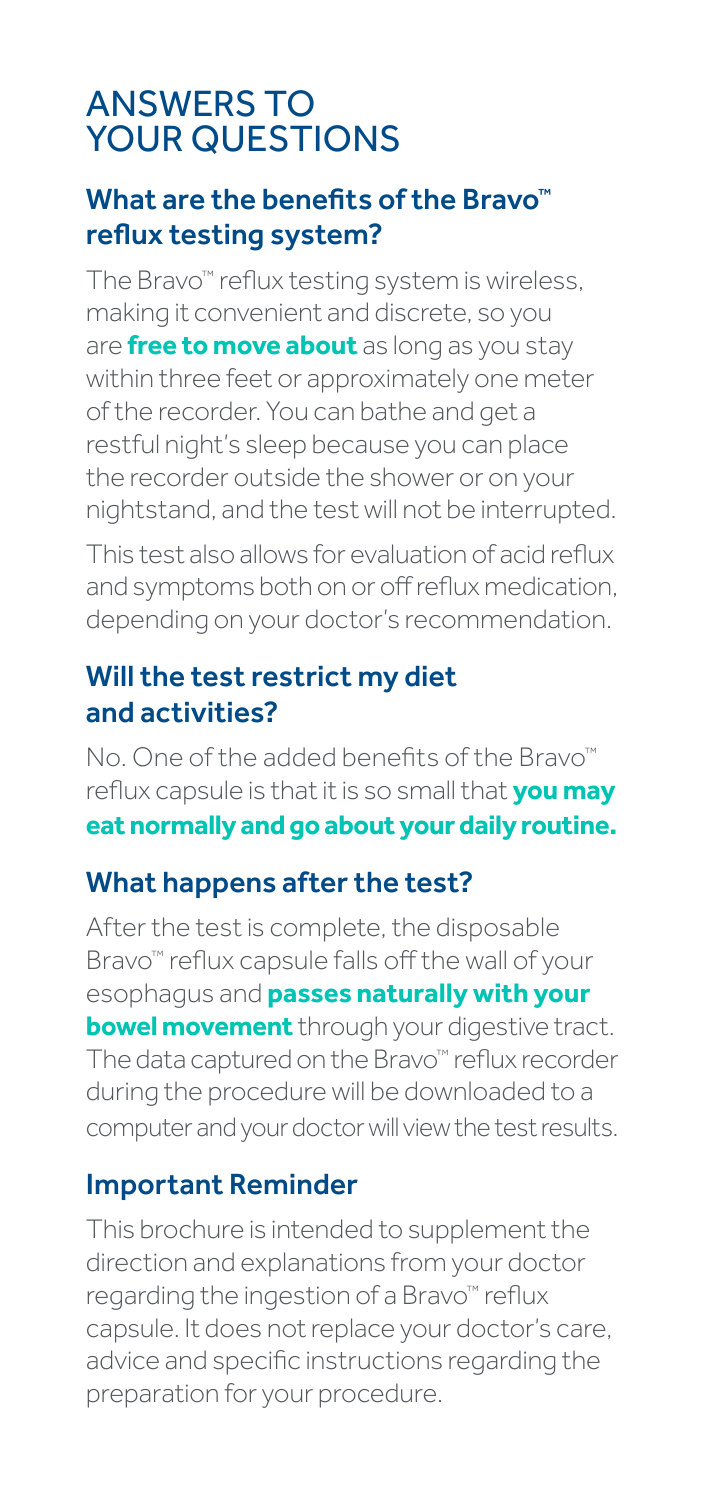## ANSWERS TO YOUR QUESTIONS

### What are the benefits of the Bravo™ reflux testing system?

The Bravo™ reflux testing system is wireless, making it convenient and discrete, so you are **free to move about** as long as you stay within three feet or approximately one meter of the recorder. You can bathe and get a restful night's sleep because you can place the recorder outside the shower or on your nightstand, and the test will not be interrupted.

This test also allows for evaluation of acid reflux and symptoms both on or off reflux medication, depending on your doctor's recommendation.

### Will the test restrict my diet and activities?

No. One of the added benefits of the Bravo™ reflux capsule is that it is so small that **you may eat normally and go about your daily routine.**

## What happens after the test?

After the test is complete, the disposable Bravo™ reflux capsule falls off the wall of your esophagus and **passes naturally with your bowel movement** through your digestive tract. The data captured on the Bravo™ reflux recorder during the procedure will be downloaded to a computer and your doctor will view the test results.

## Important Reminder

This brochure is intended to supplement the direction and explanations from your doctor regarding the ingestion of a Bravo™ reflux capsule. It does not replace your doctor's care, advice and specific instructions regarding the preparation for your procedure.